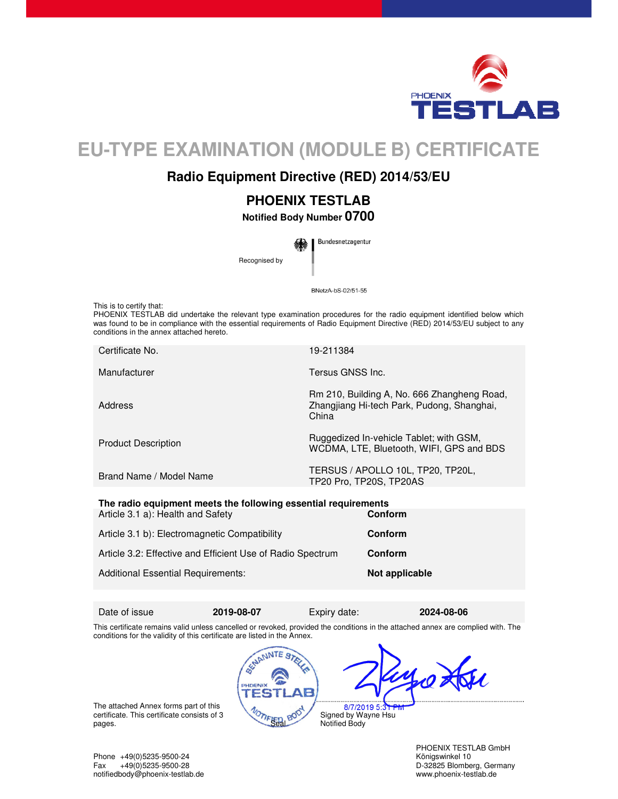

# **EU-TYPE EXAMINATION (MODULE B) CERTIFICATE**

## **Radio Equipment Directive (RED) 2014/53/EU**

## **PHOENIX TESTLAB**

**Notified Body Number 0700** 

Bundesnetzagentur Recognised by

BNetzA-bS-02/51-55

This is to certify that:

PHOENIX TESTLAB did undertake the relevant type examination procedures for the radio equipment identified below which was found to be in compliance with the essential requirements of Radio Equipment Directive (RED) 2014/53/EU subject to any conditions in the annex attached hereto.

| Certificate No.                                                | 19-211384                                                                                          |  |
|----------------------------------------------------------------|----------------------------------------------------------------------------------------------------|--|
| Manufacturer                                                   | Tersus GNSS Inc.                                                                                   |  |
| Address                                                        | Rm 210, Building A, No. 666 Zhangheng Road,<br>Zhangjiang Hi-tech Park, Pudong, Shanghai,<br>China |  |
| <b>Product Description</b>                                     | Ruggedized In-vehicle Tablet; with GSM,<br>WCDMA, LTE, Bluetooth, WIFI, GPS and BDS                |  |
| Brand Name / Model Name                                        | TERSUS / APOLLO 10L, TP20, TP20L,<br>TP20 Pro, TP20S, TP20AS                                       |  |
| The redia conjument meets the following ecceptial requirements |                                                                                                    |  |

| The radio equipment meets the following essential requirements<br>Article 3.1 a): Health and Safety | Conform        |
|-----------------------------------------------------------------------------------------------------|----------------|
| Article 3.1 b): Electromagnetic Compatibility                                                       | Conform        |
| Article 3.2: Effective and Efficient Use of Radio Spectrum                                          | Conform        |
| <b>Additional Essential Requirements:</b>                                                           | Not applicable |

Date of issue **2019-08-07** Expiry date: **2024-08-06** 

PHDEN()

This certificate remains valid unless cancelled or revoked, provided the conditions in the attached annex are complied with. The conditions for the validity of this certificate are listed in the Annex. SCHANNIE ST

The attached Annex forms part of this certificate. This certificate consists of 3 pages.

8/7/2019 5 Signed by Wayne Hsu Notified Body

PHOENIX TESTLAB GmbH D-32825 Blomberg, Germany

Phone +49(0)5235-9500-24 Königswinkel 10 notifiedbody@phoenix-testlab.de www.phoenix-testlab.de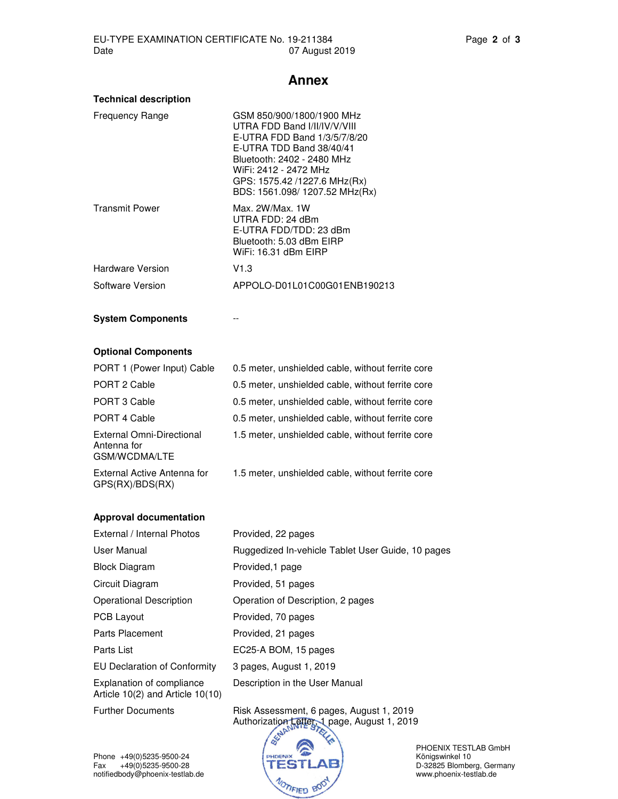#### **Annex**

| <b>Technical description</b> |
|------------------------------|
|                              |

| <b>Frequency Range</b>   | GSM 850/900/1800/1900 MHz<br>UTRA FDD Band I/II/IV/V/VIII<br>E-UTRA FDD Band 1/3/5/7/8/20<br>E-UTRA TDD Band 38/40/41<br>Bluetooth: 2402 - 2480 MHz<br>WiFi: 2412 - 2472 MHz<br>GPS: 1575.42 /1227.6 MHz(Rx)<br>BDS: 1561.098/ 1207.52 MHz(Rx) |
|--------------------------|------------------------------------------------------------------------------------------------------------------------------------------------------------------------------------------------------------------------------------------------|
| <b>Transmit Power</b>    | Max. 2W/Max. 1W<br>UTRA FDD: 24 dBm<br>E-UTRA FDD/TDD: 23 dBm<br>Bluetooth: 5.03 dBm EIRP<br>WiFi: 16.31 dBm FIRP                                                                                                                              |
| Hardware Version         | V1.3                                                                                                                                                                                                                                           |
| Software Version         | APPOLO-D01L01C00G01ENB190213                                                                                                                                                                                                                   |
| <b>System Components</b> |                                                                                                                                                                                                                                                |

### **Optional Components**

| PORT 1 (Power Input) Cable                                | 0.5 meter, unshielded cable, without ferrite core |
|-----------------------------------------------------------|---------------------------------------------------|
| PORT 2 Cable                                              | 0.5 meter, unshielded cable, without ferrite core |
| PORT 3 Cable                                              | 0.5 meter, unshielded cable, without ferrite core |
| PORT 4 Cable                                              | 0.5 meter, unshielded cable, without ferrite core |
| External Omni-Directional<br>Antenna for<br>GSM/WCDMA/LTE | 1.5 meter, unshielded cable, without ferrite core |
| External Active Antenna for                               | 1.5 meter, unshielded cable, without ferrite core |

## GPS(RX)/BDS(RX)

| <b>Approval documentation</b> |  |
|-------------------------------|--|

| External / Internal Photos                                    | Provided, 22 pages                                |
|---------------------------------------------------------------|---------------------------------------------------|
| User Manual                                                   | Ruggedized In-vehicle Tablet User Guide, 10 pages |
| Block Diagram                                                 | Provided, 1 page                                  |
| Circuit Diagram                                               | Provided, 51 pages                                |
| Operational Description                                       | Operation of Description, 2 pages                 |
| PCB Layout                                                    | Provided, 70 pages                                |
| Parts Placement                                               | Provided, 21 pages                                |
| Parts List                                                    | EC25-A BOM, 15 pages                              |
| <b>EU Declaration of Conformity</b>                           | 3 pages, August 1, 2019                           |
| Explanation of compliance<br>Article 10(2) and Article 10(10) | Description in the User Manual                    |

Further Documents Risk Assessment, 6 pages, August 1, 2019 Authorization Letter, 1 page, August 1, 2019



PHOENIX TESTLAB GmbH D-32825 Blomberg, Germany<br>www.phoenix-testlab.de